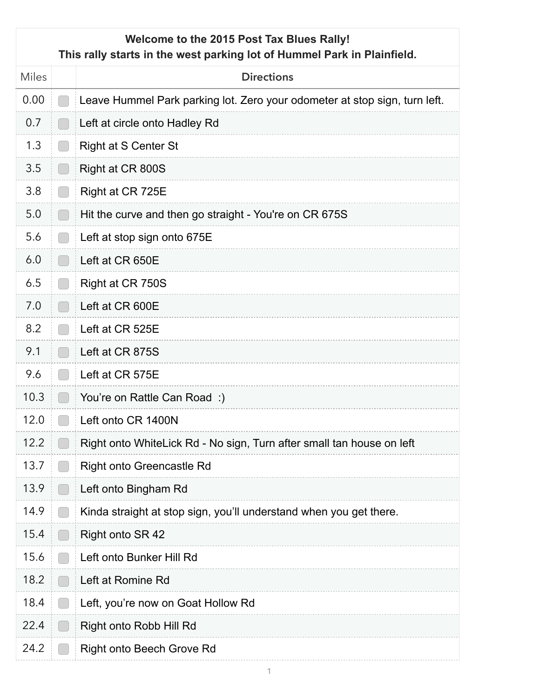## **Welcome to the 2015 Post Tax Blues Rally! This rally starts in the west parking lot of Hummel Park in Plainfield.**

| <b>Miles</b> |                                                     | <b>Directions</b>                                                          |
|--------------|-----------------------------------------------------|----------------------------------------------------------------------------|
| 0.00         |                                                     | Leave Hummel Park parking lot. Zero your odometer at stop sign, turn left. |
| 0.7          | l.                                                  | Left at circle onto Hadley Rd                                              |
| 1.3          | $\begin{bmatrix} 1 & 1 \end{bmatrix}$               | <b>Right at S Center St</b>                                                |
| 3.5          | l.                                                  | Right at CR 800S                                                           |
| 3.8          | $\left\lfloor \cdot \right\rfloor$                  | Right at CR 725E                                                           |
| 5.0          | $\begin{bmatrix} 1 & 1 \end{bmatrix}$               | Hit the curve and then go straight - You're on CR 675S                     |
| 5.6          | l.                                                  | Left at stop sign onto 675E                                                |
| 6.0          | $\left( \begin{array}{c} \cdot \end{array} \right)$ | Left at CR 650E                                                            |
| 6.5          | l.                                                  | Right at CR 750S                                                           |
| 7.0          |                                                     | Left at CR 600E                                                            |
| 8.2          |                                                     | Left at CR 525E                                                            |
| 9.1          | $\Box$                                              | Left at CR 875S                                                            |
| 9.6          | ſ.                                                  | Left at CR 575E                                                            |
| 10.3         | $[\quad]$                                           | You're on Rattle Can Road:)                                                |
| 12.0         | <b>COL</b>                                          | Left onto CR 1400N                                                         |
| 12.2         |                                                     | Right onto WhiteLick Rd - No sign, Turn after small tan house on left      |
| 13.7         |                                                     | <b>Right onto Greencastle Rd</b>                                           |
| 13.9         |                                                     | Left onto Bingham Rd                                                       |
| 14.9         |                                                     | Kinda straight at stop sign, you'll understand when you get there.         |
| 15.4         |                                                     | Right onto SR 42                                                           |
| 15.6         |                                                     | Left onto Bunker Hill Rd                                                   |
| 18.2         |                                                     | Left at Romine Rd                                                          |
| 18.4         |                                                     | Left, you're now on Goat Hollow Rd                                         |
| 22.4         |                                                     | Right onto Robb Hill Rd                                                    |
| 24.2         |                                                     | <b>Right onto Beech Grove Rd</b>                                           |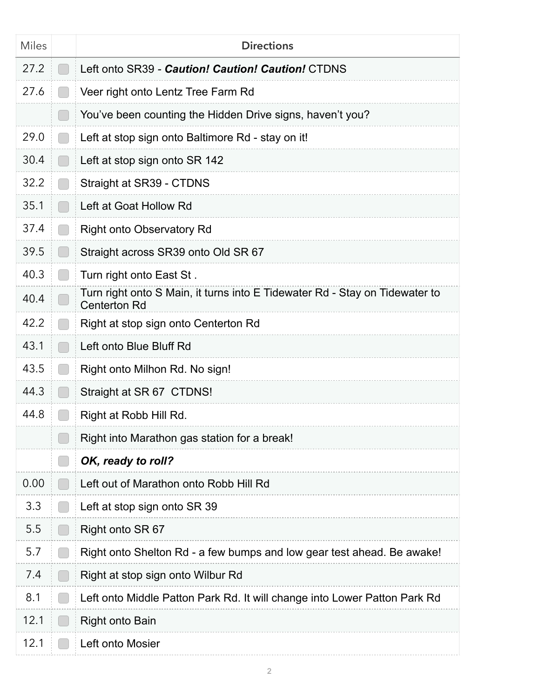| <b>Miles</b> |                                                | <b>Directions</b>                                                                                  |
|--------------|------------------------------------------------|----------------------------------------------------------------------------------------------------|
| 27.2         |                                                | Left onto SR39 - Caution! Caution! Caution! CTDNS                                                  |
| 27.6         | $\begin{pmatrix} 1 & 1 \end{pmatrix}$          | Veer right onto Lentz Tree Farm Rd                                                                 |
|              | $\begin{bmatrix} 1 & 1 \\ 1 & 1 \end{bmatrix}$ | You've been counting the Hidden Drive signs, haven't you?                                          |
| 29.0         | $\Box$                                         | Left at stop sign onto Baltimore Rd - stay on it!                                                  |
| 30.4         | $\begin{array}{ccc} \end{array}$               | Left at stop sign onto SR 142                                                                      |
| 32.2         | $\begin{bmatrix} 1 & 1 \end{bmatrix}$          | Straight at SR39 - CTDNS                                                                           |
| 35.1         | $\Box$                                         | Left at Goat Hollow Rd                                                                             |
| 37.4         | $\Box$                                         | <b>Right onto Observatory Rd</b>                                                                   |
| 39.5         |                                                | Straight across SR39 onto Old SR 67                                                                |
| 40.3         |                                                | Turn right onto East St.                                                                           |
| 40.4         |                                                | Turn right onto S Main, it turns into E Tidewater Rd - Stay on Tidewater to<br><b>Centerton Rd</b> |
| 42.2         |                                                | Right at stop sign onto Centerton Rd                                                               |
| 43.1         | $\Box$                                         | Left onto Blue Bluff Rd                                                                            |
| 43.5         | $\begin{pmatrix} 1 & 1 \end{pmatrix}$          | Right onto Milhon Rd. No sign!                                                                     |
| 44.3         | m.                                             | Straight at SR 67 CTDNS!                                                                           |
| 44.8         |                                                | Right at Robb Hill Rd.                                                                             |
|              |                                                | Right into Marathon gas station for a break!                                                       |
|              |                                                | OK, ready to roll?                                                                                 |
| 0.00         |                                                | Left out of Marathon onto Robb Hill Rd                                                             |
| 3.3          |                                                | Left at stop sign onto SR 39                                                                       |
| 5.5          | I.                                             | Right onto SR 67                                                                                   |
| 5.7          |                                                | Right onto Shelton Rd - a few bumps and low gear test ahead. Be awake!                             |
| 7.4          |                                                | Right at stop sign onto Wilbur Rd                                                                  |
| 8.1          |                                                | Left onto Middle Patton Park Rd. It will change into Lower Patton Park Rd                          |
| 12.1         |                                                | <b>Right onto Bain</b>                                                                             |
| 12.1         |                                                | Left onto Mosier                                                                                   |